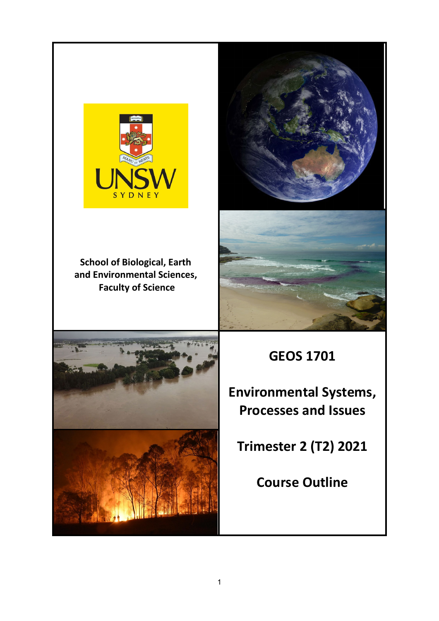

**School of Biological, Earth and Environmental Sciences, Faculty of Science**







**GEOS 1701**

**Environmental Systems, Processes and Issues**

**Trimester 2 (T2) 2021**

**Course Outline**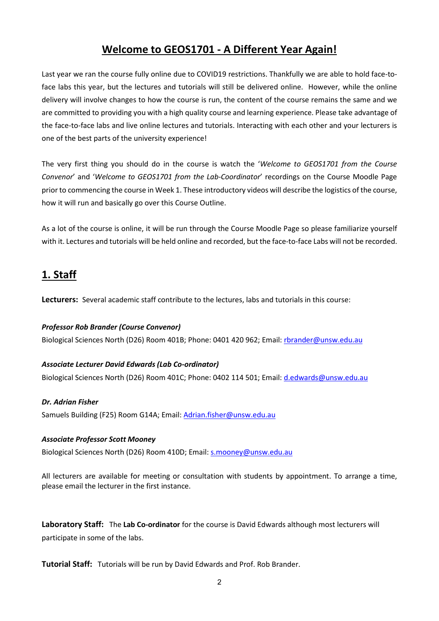## **Welcome to GEOS1701 - A Different Year Again!**

Last year we ran the course fully online due to COVID19 restrictions. Thankfully we are able to hold face-toface labs this year, but the lectures and tutorials will still be delivered online. However, while the online delivery will involve changes to how the course is run, the content of the course remains the same and we are committed to providing you with a high quality course and learning experience. Please take advantage of the face-to-face labs and live online lectures and tutorials. Interacting with each other and your lecturers is one of the best parts of the university experience!

The very first thing you should do in the course is watch the '*Welcome to GEOS1701 from the Course Convenor*' and '*Welcome to GEOS1701 from the Lab-Coordinator*' recordings on the Course Moodle Page prior to commencing the course in Week 1. These introductory videos will describe the logistics of the course, how it will run and basically go over this Course Outline.

As a lot of the course is online, it will be run through the Course Moodle Page so please familiarize yourself with it. Lectures and tutorials will be held online and recorded, but the face-to-face Labs will not be recorded.

# **1. Staff**

**Lecturers:** Several academic staff contribute to the lectures, labs and tutorials in this course:

*Professor Rob Brander (Course Convenor)* Biological Sciences North (D26) Room 401B; Phone: 0401 420 962; Email: [rbrander@unsw.edu.au](mailto:rbrander@unsw.edu.au)

## *Associate Lecturer David Edwards (Lab Co-ordinator)*

Biological Sciences North (D26) Room 401C; Phone: 0402 114 501; Email: [d.edwards@unsw.edu.au](mailto:d.edwards@unsw.edu.au)

#### *Dr. Adrian Fisher*

Samuels Building (F25) Room G14A; Email: [Adrian.fisher@unsw.edu.au](mailto:Adrian.fisher@unsw.edu.au)

#### *Associate Professor Scott Mooney*

Biological Sciences North (D26) Room 410D; Email: [s.mooney@unsw.edu.au](mailto:s.mooney@unsw.edu.au)

All lecturers are available for meeting or consultation with students by appointment. To arrange a time, please email the lecturer in the first instance.

**Laboratory Staff:** The **Lab Co-ordinator** for the course is David Edwards although most lecturers will participate in some of the labs.

**Tutorial Staff:** Tutorials will be run by David Edwards and Prof. Rob Brander.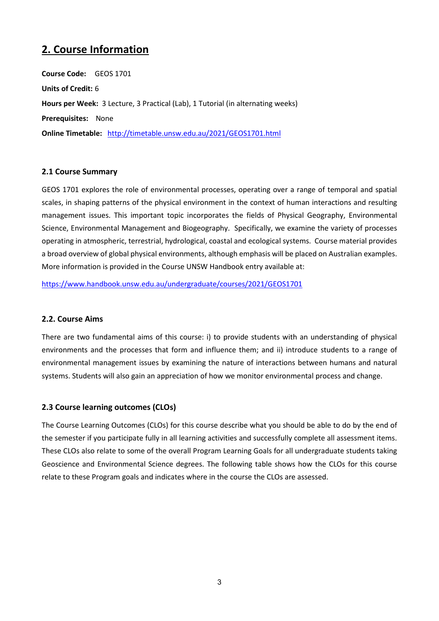# **2. Course Information**

**Course Code:** GEOS 1701 **Units of Credit:** 6 **Hours per Week:** 3 Lecture, 3 Practical (Lab), 1 Tutorial (in alternating weeks) **Prerequisites:** None **Online Timetable:** <http://timetable.unsw.edu.au/2021/GEOS1701.html>

#### **2.1 Course Summary**

GEOS 1701 explores the role of environmental processes, operating over a range of temporal and spatial scales, in shaping patterns of the physical environment in the context of human interactions and resulting management issues. This important topic incorporates the fields of Physical Geography, Environmental Science, Environmental Management and Biogeography. Specifically, we examine the variety of processes operating in atmospheric, terrestrial, hydrological, coastal and ecological systems. Course material provides a broad overview of global physical environments, although emphasis will be placed on Australian examples. More information is provided in the Course UNSW Handbook entry available at:

<https://www.handbook.unsw.edu.au/undergraduate/courses/2021/GEOS1701>

#### **2.2. Course Aims**

There are two fundamental aims of this course: i) to provide students with an understanding of physical environments and the processes that form and influence them; and ii) introduce students to a range of environmental management issues by examining the nature of interactions between humans and natural systems. Students will also gain an appreciation of how we monitor environmental process and change.

## **2.3 Course learning outcomes (CLOs)**

The Course Learning Outcomes (CLOs) for this course describe what you should be able to do by the end of the semester if you participate fully in all learning activities and successfully complete all assessment items. These CLOs also relate to some of the overall Program Learning Goals for all undergraduate students taking Geoscience and Environmental Science degrees. The following table shows how the CLOs for this course relate to these Program goals and indicates where in the course the CLOs are assessed.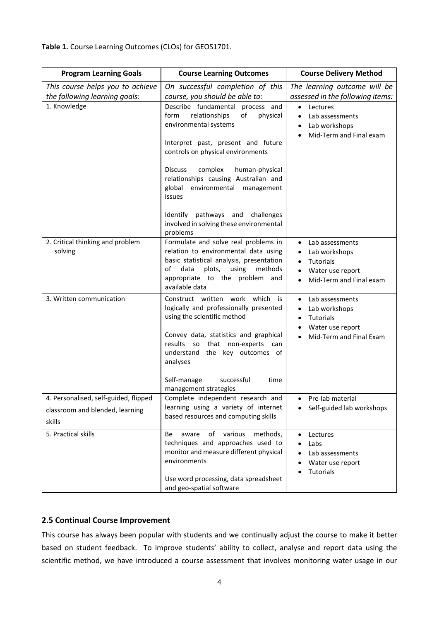**Table 1.** Course Learning Outcomes (CLOs) for GEOS1701.

| <b>Program Learning Goals</b>                                                      | <b>Course Learning Outcomes</b>                                                                                                                                                                                                                                                                                     | <b>Course Delivery Method</b>                                                                                               |  |
|------------------------------------------------------------------------------------|---------------------------------------------------------------------------------------------------------------------------------------------------------------------------------------------------------------------------------------------------------------------------------------------------------------------|-----------------------------------------------------------------------------------------------------------------------------|--|
| This course helps you to achieve<br>the following learning goals:                  | On successful completion of this<br>course, you should be able to:                                                                                                                                                                                                                                                  | The learning outcome will be<br>assessed in the following items:                                                            |  |
| 1. Knowledge                                                                       | Describe fundamental process and<br>relationships<br>of<br>physical<br>form<br>environmental systems<br>Interpret past, present and future<br>controls on physical environments<br>complex<br><b>Discuss</b><br>human-physical<br>relationships causing Australian and<br>global environmental management<br>issues | Lectures<br>$\bullet$<br>Lab assessments<br>Lab workshops<br>Mid-Term and Final exam                                        |  |
|                                                                                    | Identify pathways and challenges<br>involved in solving these environmental<br>problems                                                                                                                                                                                                                             |                                                                                                                             |  |
| 2. Critical thinking and problem<br>solving                                        | Formulate and solve real problems in<br>relation to environmental data using<br>basic statistical analysis, presentation<br>plots,<br>using<br>methods<br>οf<br>data<br>appropriate to the problem and<br>available data                                                                                            | Lab assessments<br>٠<br>Lab workshops<br>Tutorials<br>$\bullet$<br>Water use report<br>Mid-Term and Final exam<br>$\bullet$ |  |
| 3. Written communication                                                           | Construct written work which is<br>logically and professionally presented<br>using the scientific method<br>Convey data, statistics and graphical<br>results so that non-experts<br>can<br>understand the key outcomes of<br>analyses<br>Self-manage<br>successful<br>time<br>management strategies                 | Lab assessments<br>٠<br>Lab workshops<br>Tutorials<br>Water use report<br>Mid-Term and Final Exam                           |  |
| 4. Personalised, self-guided, flipped<br>classroom and blended, learning<br>skills | Complete independent research and<br>learning using a variety of internet<br>based resources and computing skills                                                                                                                                                                                                   | Pre-lab material<br>Self-guided lab workshops                                                                               |  |
| 5. Practical skills                                                                | of<br>various<br>aware<br>methods,<br>Be<br>techniques and approaches used to<br>monitor and measure different physical<br>environments<br>Use word processing, data spreadsheet<br>and geo-spatial software                                                                                                        | Lectures<br>Labs<br>Lab assessments<br>Water use report<br>Tutorials                                                        |  |

## **2.5 Continual Course Improvement**

This course has always been popular with students and we continually adjust the course to make it better based on student feedback. To improve students' ability to collect, analyse and report data using the scientific method, we have introduced a course assessment that involves monitoring water usage in our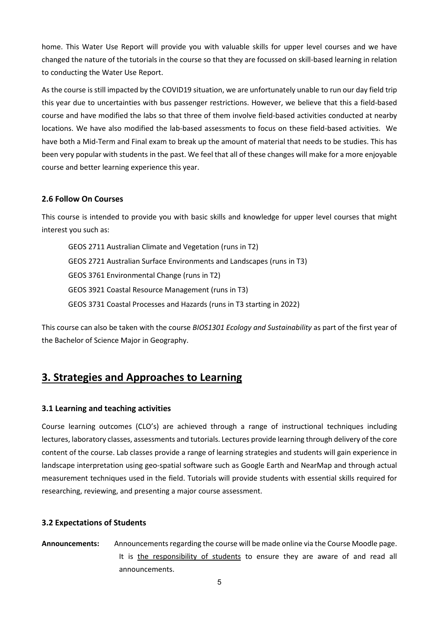home. This Water Use Report will provide you with valuable skills for upper level courses and we have changed the nature of the tutorials in the course so that they are focussed on skill-based learning in relation to conducting the Water Use Report.

As the course is still impacted by the COVID19 situation, we are unfortunately unable to run our day field trip this year due to uncertainties with bus passenger restrictions. However, we believe that this a field-based course and have modified the labs so that three of them involve field-based activities conducted at nearby locations. We have also modified the lab-based assessments to focus on these field-based activities. We have both a Mid-Term and Final exam to break up the amount of material that needs to be studies. This has been very popular with students in the past. We feel that all of these changes will make for a more enjoyable course and better learning experience this year.

#### **2.6 Follow On Courses**

This course is intended to provide you with basic skills and knowledge for upper level courses that might interest you such as:

GEOS 2711 Australian Climate and Vegetation (runs in T2) GEOS 2721 Australian Surface Environments and Landscapes (runs in T3) GEOS 3761 Environmental Change (runs in T2) GEOS 3921 Coastal Resource Management (runs in T3) GEOS 3731 Coastal Processes and Hazards (runs in T3 starting in 2022)

This course can also be taken with the course *BIOS1301 Ecology and Sustainability* as part of the first year of the Bachelor of Science Major in Geography.

## **3. Strategies and Approaches to Learning**

## **3.1 Learning and teaching activities**

Course learning outcomes (CLO's) are achieved through a range of instructional techniques including lectures, laboratory classes, assessments and tutorials. Lectures provide learning through delivery of the core content of the course. Lab classes provide a range of learning strategies and students will gain experience in landscape interpretation using geo-spatial software such as Google Earth and NearMap and through actual measurement techniques used in the field. Tutorials will provide students with essential skills required for researching, reviewing, and presenting a major course assessment.

## **3.2 Expectations of Students**

**Announcements:** Announcements regarding the course will be made online via the Course Moodle page. It is the responsibility of students to ensure they are aware of and read all announcements.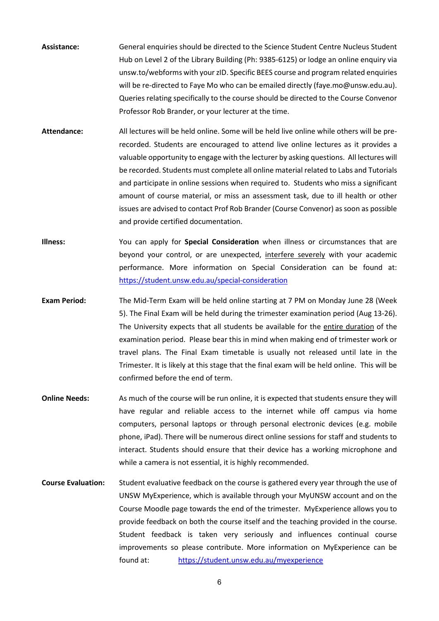- **Assistance:** General enquiries should be directed to the Science Student Centre Nucleus Student Hub on Level 2 of the Library Building (Ph: 9385-6125) or lodge an online enquiry via unsw.to/webforms with your zID. Specific BEES course and program related enquiries will be re-directed to Faye Mo who can be emailed directly (faye.mo@unsw.edu.au). Queries relating specifically to the course should be directed to the Course Convenor Professor Rob Brander, or your lecturer at the time.
- **Attendance:** All lectures will be held online. Some will be held live online while others will be prerecorded. Students are encouraged to attend live online lectures as it provides a valuable opportunity to engage with the lecturer by asking questions. All lectures will be recorded. Students must complete all online material related to Labs and Tutorials and participate in online sessions when required to. Students who miss a significant amount of course material, or miss an assessment task, due to ill health or other issues are advised to contact Prof Rob Brander (Course Convenor) as soon as possible and provide certified documentation.
- **Illness:** You can apply for **Special Consideration** when illness or circumstances that are beyond your control, or are unexpected, interfere severely with your academic performance. More information on Special Consideration can be found at: <https://student.unsw.edu.au/special-consideration>
- **Exam Period:** The Mid-Term Exam will be held online starting at 7 PM on Monday June 28 (Week 5). The Final Exam will be held during the trimester examination period (Aug 13-26). The University expects that all students be available for the entire duration of the examination period. Please bear this in mind when making end of trimester work or travel plans. The Final Exam timetable is usually not released until late in the Trimester. It is likely at this stage that the final exam will be held online. This will be confirmed before the end of term.
- **Online Needs:** As much of the course will be run online, it is expected that students ensure they will have regular and reliable access to the internet while off campus via home computers, personal laptops or through personal electronic devices (e.g. mobile phone, iPad). There will be numerous direct online sessions for staff and students to interact. Students should ensure that their device has a working microphone and while a camera is not essential, it is highly recommended.
- **Course Evaluation:** Student evaluative feedback on the course is gathered every year through the use of UNSW MyExperience, which is available through your MyUNSW account and on the Course Moodle page towards the end of the trimester. MyExperience allows you to provide feedback on both the course itself and the teaching provided in the course. Student feedback is taken very seriously and influences continual course improvements so please contribute. More information on MyExperience can be found at: <https://student.unsw.edu.au/myexperience>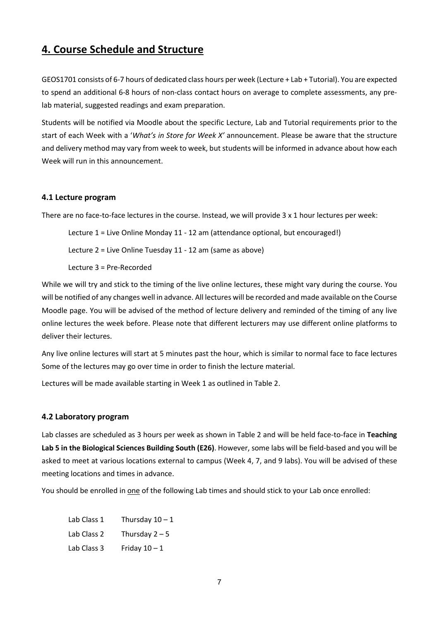## **4. Course Schedule and Structure**

GEOS1701 consists of 6-7 hours of dedicated class hours per week (Lecture + Lab + Tutorial). You are expected to spend an additional 6-8 hours of non-class contact hours on average to complete assessments, any prelab material, suggested readings and exam preparation.

Students will be notified via Moodle about the specific Lecture, Lab and Tutorial requirements prior to the start of each Week with a '*What's in Store for Week X'* announcement. Please be aware that the structure and delivery method may vary from week to week, but students will be informed in advance about how each Week will run in this announcement.

#### **4.1 Lecture program**

There are no face-to-face lectures in the course. Instead, we will provide 3 x 1 hour lectures per week:

Lecture 1 = Live Online Monday 11 - 12 am (attendance optional, but encouraged!)

Lecture 2 = Live Online Tuesday 11 - 12 am (same as above)

Lecture 3 = Pre-Recorded

While we will try and stick to the timing of the live online lectures, these might vary during the course. You will be notified of any changes well in advance. All lectures will be recorded and made available on the Course Moodle page. You will be advised of the method of lecture delivery and reminded of the timing of any live online lectures the week before. Please note that different lecturers may use different online platforms to deliver their lectures.

Any live online lectures will start at 5 minutes past the hour, which is similar to normal face to face lectures Some of the lectures may go over time in order to finish the lecture material.

Lectures will be made available starting in Week 1 as outlined in Table 2.

#### **4.2 Laboratory program**

Lab classes are scheduled as 3 hours per week as shown in Table 2 and will be held face-to-face in **Teaching Lab 5 in the Biological Sciences Building South (E26)**. However, some labs will be field-based and you will be asked to meet at various locations external to campus (Week 4, 7, and 9 labs). You will be advised of these meeting locations and times in advance.

You should be enrolled in one of the following Lab times and should stick to your Lab once enrolled:

| Lab Class 1 | Thursday $10 - 1$ |
|-------------|-------------------|
| Lab Class 2 | Thursday $2-5$    |
| Lab Class 3 | Friday $10 - 1$   |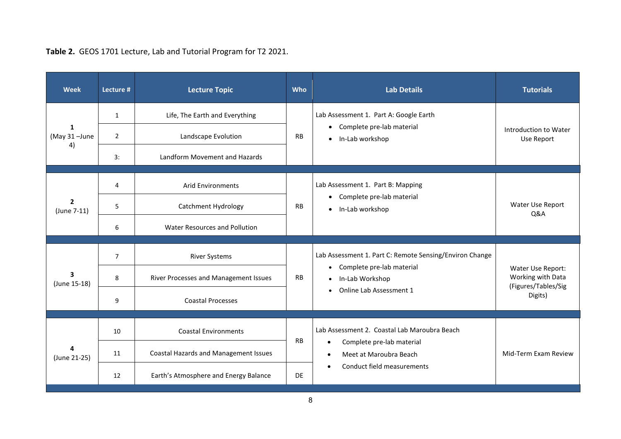| <b>Week</b>                             | Lecture #      | <b>Lecture Topic</b>                         | <b>Who</b> | <b>Lab Details</b>                                                                                    | <b>Tutorials</b>                                    |
|-----------------------------------------|----------------|----------------------------------------------|------------|-------------------------------------------------------------------------------------------------------|-----------------------------------------------------|
| 1<br>(May 31-June<br>4)                 | 1              | Life, The Earth and Everything               |            | Lab Assessment 1. Part A: Google Earth<br>• Complete pre-lab material<br>In-Lab workshop<br>$\bullet$ | Introduction to Water<br>Use Report                 |
|                                         | $\overline{2}$ | Landscape Evolution                          | <b>RB</b>  |                                                                                                       |                                                     |
|                                         | 3:             | Landform Movement and Hazards                |            |                                                                                                       |                                                     |
| $\overline{2}$<br>(June 7-11)           | 4              | <b>Arid Environments</b>                     |            | Lab Assessment 1. Part B: Mapping<br>• Complete pre-lab material<br>In-Lab workshop<br>$\bullet$      |                                                     |
|                                         | 5              | Catchment Hydrology                          | <b>RB</b>  |                                                                                                       | Water Use Report<br>Q&A                             |
|                                         | 6              | Water Resources and Pollution                |            |                                                                                                       |                                                     |
|                                         |                |                                              |            |                                                                                                       |                                                     |
|                                         | $\overline{7}$ | <b>River Systems</b>                         | <b>RB</b>  | Lab Assessment 1. Part C: Remote Sensing/Environ Change<br>Complete pre-lab material<br>$\bullet$     | Water Use Report:                                   |
| $\overline{\mathbf{3}}$<br>(June 15-18) | 8              | River Processes and Management Issues        |            | In-Lab Workshop                                                                                       | Working with Data<br>(Figures/Tables/Sig<br>Digits) |
|                                         | 9              | <b>Coastal Processes</b>                     |            | Online Lab Assessment 1<br>$\bullet$                                                                  |                                                     |
|                                         |                |                                              |            |                                                                                                       |                                                     |
|                                         | 10             | <b>Coastal Environments</b>                  | <b>RB</b>  | Lab Assessment 2. Coastal Lab Maroubra Beach                                                          |                                                     |
| (June 21-25)                            | 11             | <b>Coastal Hazards and Management Issues</b> |            | Complete pre-lab material<br>Meet at Maroubra Beach<br>$\bullet$                                      | Mid-Term Exam Review                                |
|                                         | 12             | Earth's Atmosphere and Energy Balance        | <b>DE</b>  | Conduct field measurements                                                                            |                                                     |

**Table 2.** GEOS 1701 Lecture, Lab and Tutorial Program for T2 2021.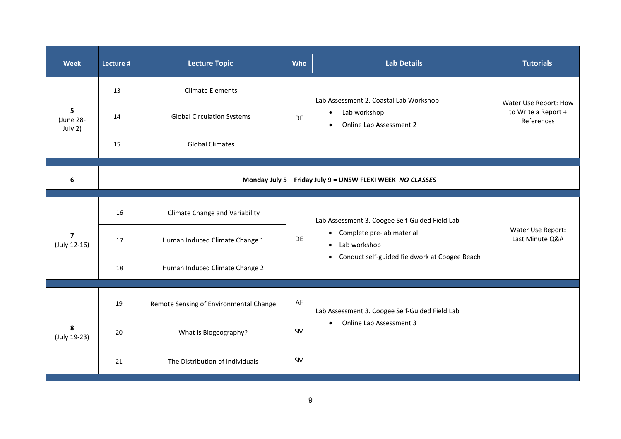| <b>Week</b>                    | Lecture #                                                  | <b>Lecture Topic</b>                   | Who       | <b>Lab Details</b>                                                                                                                                 | <b>Tutorials</b>                                           |  |
|--------------------------------|------------------------------------------------------------|----------------------------------------|-----------|----------------------------------------------------------------------------------------------------------------------------------------------------|------------------------------------------------------------|--|
| 5<br>(June 28-<br>July 2)      | 13                                                         | <b>Climate Elements</b>                |           | Lab Assessment 2. Coastal Lab Workshop<br>Lab workshop<br>$\bullet$<br>Online Lab Assessment 2                                                     | Water Use Report: How<br>to Write a Report +<br>References |  |
|                                | 14                                                         | <b>Global Circulation Systems</b>      | <b>DE</b> |                                                                                                                                                    |                                                            |  |
|                                | 15                                                         | <b>Global Climates</b>                 |           |                                                                                                                                                    |                                                            |  |
| 6                              | Monday July 5 - Friday July 9 = UNSW FLEXI WEEK NO CLASSES |                                        |           |                                                                                                                                                    |                                                            |  |
| $\overline{7}$<br>(July 12-16) | 16                                                         | <b>Climate Change and Variability</b>  | DE        | Lab Assessment 3. Coogee Self-Guided Field Lab<br>• Complete pre-lab material<br>• Lab workshop<br>• Conduct self-guided fieldwork at Coogee Beach |                                                            |  |
|                                | 17                                                         | Human Induced Climate Change 1         |           |                                                                                                                                                    | Water Use Report:<br>Last Minute Q&A                       |  |
|                                | 18                                                         | Human Induced Climate Change 2         |           |                                                                                                                                                    |                                                            |  |
| 8<br>(July 19-23)              | 19                                                         | Remote Sensing of Environmental Change | AF        | Lab Assessment 3. Coogee Self-Guided Field Lab                                                                                                     |                                                            |  |
|                                | 20                                                         | What is Biogeography?                  | SM        | Online Lab Assessment 3<br>$\bullet$                                                                                                               |                                                            |  |
|                                | 21                                                         | The Distribution of Individuals        | SM.       |                                                                                                                                                    |                                                            |  |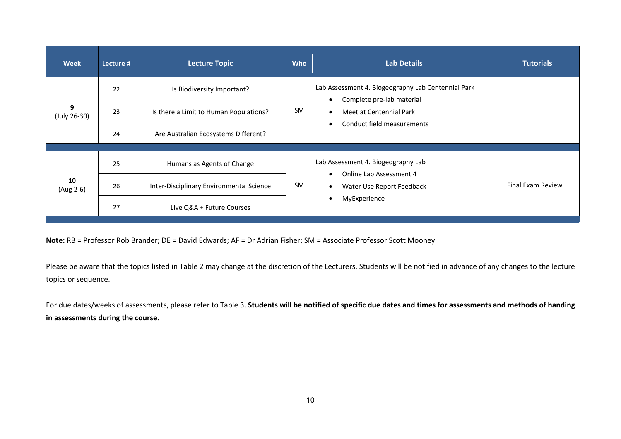| <b>Week</b>       | Lecture #                                                 | <b>Lecture Topic</b>                     | <b>Who</b>              | <b>Lab Details</b>                                                                                         | <b>Tutorials</b>         |
|-------------------|-----------------------------------------------------------|------------------------------------------|-------------------------|------------------------------------------------------------------------------------------------------------|--------------------------|
|                   | 22                                                        | Is Biodiversity Important?               |                         | Lab Assessment 4. Biogeography Lab Centennial Park<br>Complete pre-lab material                            |                          |
| 9<br>(July 26-30) | <b>SM</b><br>23<br>Is there a Limit to Human Populations? |                                          | Meet at Centennial Park |                                                                                                            |                          |
|                   | 24                                                        | Are Australian Ecosystems Different?     |                         | Conduct field measurements                                                                                 |                          |
|                   |                                                           |                                          |                         |                                                                                                            |                          |
| 10<br>(Aug 2-6)   | 25                                                        | Humans as Agents of Change               | <b>SM</b>               | Lab Assessment 4. Biogeography Lab<br>Online Lab Assessment 4<br>Water Use Report Feedback<br>MyExperience |                          |
|                   | 26                                                        | Inter-Disciplinary Environmental Science |                         |                                                                                                            | <b>Final Exam Review</b> |
|                   | 27                                                        | Live Q&A + Future Courses                |                         |                                                                                                            |                          |

**Note:** RB = Professor Rob Brander; DE = David Edwards; AF = Dr Adrian Fisher; SM = Associate Professor Scott Mooney

Please be aware that the topics listed in Table 2 may change at the discretion of the Lecturers. Students will be notified in advance of any changes to the lecture topics or sequence.

For due dates/weeks of assessments, please refer to Table 3. **Students will be notified of specific due dates and times for assessments and methods of handing in assessments during the course.**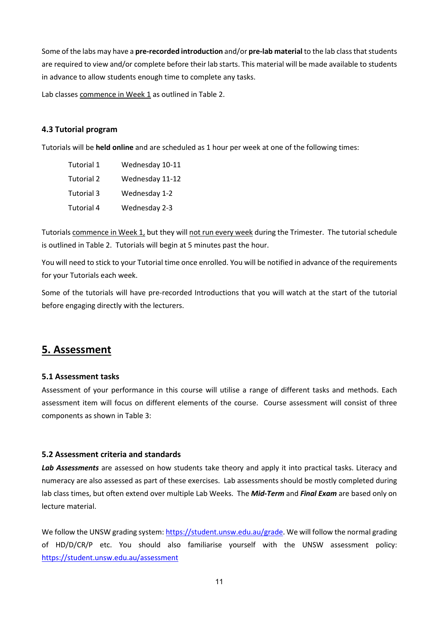Some of the labs may have a **pre-recorded introduction** and/or **pre-lab material** to the lab class that students are required to view and/or complete before their lab starts. This material will be made available to students in advance to allow students enough time to complete any tasks.

Lab classes commence in Week 1 as outlined in Table 2.

#### **4.3 Tutorial program**

Tutorials will be **held online** and are scheduled as 1 hour per week at one of the following times:

| Tutorial 1 | Wednesday 10-11 |
|------------|-----------------|
| Tutorial 2 | Wednesday 11-12 |
| Tutorial 3 | Wednesday 1-2   |
| Tutorial 4 | Wednesday 2-3   |

Tutorials commence in Week 1, but they will not run every week during the Trimester. The tutorial schedule is outlined in Table 2. Tutorials will begin at 5 minutes past the hour.

You will need to stick to your Tutorial time once enrolled. You will be notified in advance of the requirements for your Tutorials each week.

Some of the tutorials will have pre-recorded Introductions that you will watch at the start of the tutorial before engaging directly with the lecturers.

## **5. Assessment**

#### **5.1 Assessment tasks**

Assessment of your performance in this course will utilise a range of different tasks and methods. Each assessment item will focus on different elements of the course. Course assessment will consist of three components as shown in Table 3:

## **5.2 Assessment criteria and standards**

Lab Assessments are assessed on how students take theory and apply it into practical tasks. Literacy and numeracy are also assessed as part of these exercises. Lab assessments should be mostly completed during lab class times, but often extend over multiple Lab Weeks. The *Mid-Term* and *Final Exam* are based only on lecture material.

We follow the UNSW grading system[: https://student.unsw.edu.au/grade.](https://student.unsw.edu.au/grade) We will follow the normal grading of HD/D/CR/P etc. You should also familiarise yourself with the UNSW assessment policy: <https://student.unsw.edu.au/assessment>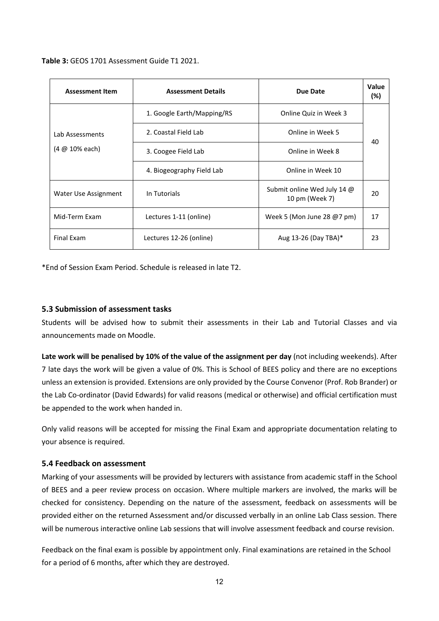**Table 3:** GEOS 1701 Assessment Guide T1 2021.

| <b>Assessment Item</b>            | <b>Assessment Details</b>  | Due Date                                      | Value<br>(%) |  |
|-----------------------------------|----------------------------|-----------------------------------------------|--------------|--|
| Lab Assessments<br>(4 @ 10% each) | 1. Google Earth/Mapping/RS | Online Quiz in Week 3                         | 40           |  |
|                                   | 2. Coastal Field Lab       | Online in Week 5                              |              |  |
|                                   | 3. Coogee Field Lab        | Online in Week 8                              |              |  |
|                                   | 4. Biogeography Field Lab  | Online in Week 10                             |              |  |
| Water Use Assignment              | In Tutorials               | Submit online Wed July 14 @<br>10 pm (Week 7) | 20           |  |
| Mid-Term Exam                     | Lectures 1-11 (online)     | Week 5 (Mon June 28 $@7$ pm)                  | 17           |  |
| Final Exam                        | Lectures 12-26 (online)    | Aug 13-26 (Day TBA)*                          | 23           |  |

\*End of Session Exam Period. Schedule is released in late T2.

## **5.3 Submission of assessment tasks**

Students will be advised how to submit their assessments in their Lab and Tutorial Classes and via announcements made on Moodle.

**Late work will be penalised by 10% of the value of the assignment per day** (not including weekends). After 7 late days the work will be given a value of 0%. This is School of BEES policy and there are no exceptions unless an extension is provided. Extensions are only provided by the Course Convenor (Prof. Rob Brander) or the Lab Co-ordinator (David Edwards) for valid reasons (medical or otherwise) and official certification must be appended to the work when handed in.

Only valid reasons will be accepted for missing the Final Exam and appropriate documentation relating to your absence is required.

#### **5.4 Feedback on assessment**

Marking of your assessments will be provided by lecturers with assistance from academic staff in the School of BEES and a peer review process on occasion. Where multiple markers are involved, the marks will be checked for consistency. Depending on the nature of the assessment, feedback on assessments will be provided either on the returned Assessment and/or discussed verbally in an online Lab Class session. There will be numerous interactive online Lab sessions that will involve assessment feedback and course revision.

Feedback on the final exam is possible by appointment only. Final examinations are retained in the School for a period of 6 months, after which they are destroyed.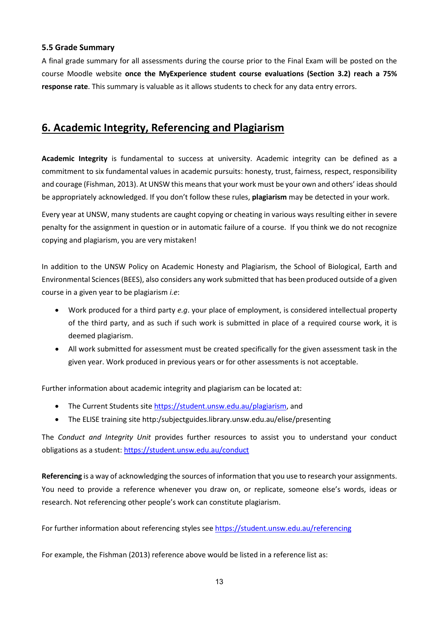## **5.5 Grade Summary**

A final grade summary for all assessments during the course prior to the Final Exam will be posted on the course Moodle website **once the MyExperience student course evaluations (Section 3.2) reach a 75% response rate**. This summary is valuable as it allows students to check for any data entry errors.

## **6. Academic Integrity, Referencing and Plagiarism**

**Academic Integrity** is fundamental to success at university. Academic integrity can be defined as a commitment to six fundamental values in academic pursuits: honesty, trust, fairness, respect, responsibility and courage (Fishman, 2013). At UNSW this means that your work must be your own and others' ideas should be appropriately acknowledged. If you don't follow these rules, **plagiarism** may be detected in your work.

Every year at UNSW, many students are caught copying or cheating in various ways resulting either in severe penalty for the assignment in question or in automatic failure of a course. If you think we do not recognize copying and plagiarism, you are very mistaken!

In addition to the UNSW Policy on Academic Honesty and Plagiarism, the School of Biological, Earth and Environmental Sciences (BEES), also considers any work submitted that has been produced outside of a given course in a given year to be plagiarism *i.e*:

- Work produced for a third party *e.g*. your place of employment, is considered intellectual property of the third party, and as such if such work is submitted in place of a required course work, it is deemed plagiarism.
- All work submitted for assessment must be created specifically for the given assessment task in the given year. Work produced in previous years or for other assessments is not acceptable.

Further information about academic integrity and plagiarism can be located at:

- The Current Students site [https://student.unsw.edu.au/plagiarism,](https://student.unsw.edu.au/plagiarism) and
- The ELISE training site http:/subjectguides.library.unsw.edu.au/elise/presenting

The *Conduct and Integrity Unit* provides further resources to assist you to understand your conduct obligations as a student:<https://student.unsw.edu.au/conduct>

**Referencing** is a way of acknowledging the sources of information that you use to research your assignments. You need to provide a reference whenever you draw on, or replicate, someone else's words, ideas or research. Not referencing other people's work can constitute plagiarism.

For further information about referencing styles see<https://student.unsw.edu.au/referencing>

For example, the Fishman (2013) reference above would be listed in a reference list as: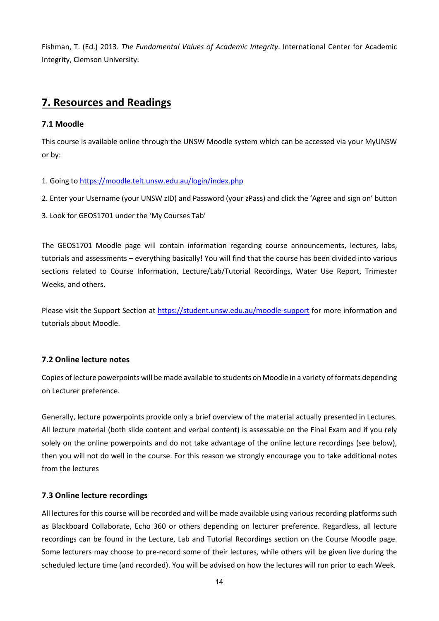Fishman, T. (Ed.) 2013. *The Fundamental Values of Academic Integrity*. International Center for Academic Integrity, Clemson University.

## **7. Resources and Readings**

## **7.1 Moodle**

This course is available online through the UNSW Moodle system which can be accessed via your MyUNSW or by:

- 1. Going to<https://moodle.telt.unsw.edu.au/login/index.php>
- 2. Enter your Username (your UNSW zID) and Password (your zPass) and click the 'Agree and sign on' button
- 3. Look for GEOS1701 under the 'My Courses Tab'

The GEOS1701 Moodle page will contain information regarding course announcements, lectures, labs, tutorials and assessments – everything basically! You will find that the course has been divided into various sections related to Course Information, Lecture/Lab/Tutorial Recordings, Water Use Report, Trimester Weeks, and others.

Please visit the Support Section at<https://student.unsw.edu.au/moodle-support> for more information and tutorials about Moodle.

## **7.2 Online lecture notes**

Copies of lecture powerpoints will be made available to students on Moodle in a variety of formats depending on Lecturer preference.

Generally, lecture powerpoints provide only a brief overview of the material actually presented in Lectures. All lecture material (both slide content and verbal content) is assessable on the Final Exam and if you rely solely on the online powerpoints and do not take advantage of the online lecture recordings (see below), then you will not do well in the course. For this reason we strongly encourage you to take additional notes from the lectures

## **7.3 Online lecture recordings**

All lectures for this course will be recorded and will be made available using various recording platforms such as Blackboard Collaborate, Echo 360 or others depending on lecturer preference. Regardless, all lecture recordings can be found in the Lecture, Lab and Tutorial Recordings section on the Course Moodle page. Some lecturers may choose to pre-record some of their lectures, while others will be given live during the scheduled lecture time (and recorded). You will be advised on how the lectures will run prior to each Week.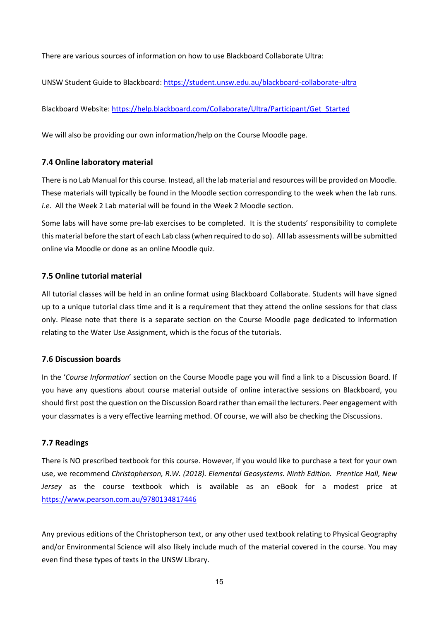There are various sources of information on how to use Blackboard Collaborate Ultra:

UNSW Student Guide to Blackboard:<https://student.unsw.edu.au/blackboard-collaborate-ultra>

Blackboard Website[: https://help.blackboard.com/Collaborate/Ultra/Participant/Get\\_Started](https://help.blackboard.com/Collaborate/Ultra/Participant/Get_Started)

We will also be providing our own information/help on the Course Moodle page.

#### **7.4 Online laboratory material**

There is no Lab Manual for this course. Instead, all the lab material and resources will be provided on Moodle. These materials will typically be found in the Moodle section corresponding to the week when the lab runs. *i.e*. All the Week 2 Lab material will be found in the Week 2 Moodle section.

Some labs will have some pre-lab exercises to be completed. It is the students' responsibility to complete this material before the start of each Lab class (when required to do so). All lab assessments will be submitted online via Moodle or done as an online Moodle quiz.

#### **7.5 Online tutorial material**

All tutorial classes will be held in an online format using Blackboard Collaborate. Students will have signed up to a unique tutorial class time and it is a requirement that they attend the online sessions for that class only. Please note that there is a separate section on the Course Moodle page dedicated to information relating to the Water Use Assignment, which is the focus of the tutorials.

#### **7.6 Discussion boards**

In the '*Course Information*' section on the Course Moodle page you will find a link to a Discussion Board. If you have any questions about course material outside of online interactive sessions on Blackboard, you should first post the question on the Discussion Board rather than email the lecturers. Peer engagement with your classmates is a very effective learning method. Of course, we will also be checking the Discussions.

#### **7.7 Readings**

There is NO prescribed textbook for this course. However, if you would like to purchase a text for your own use, we recommend *Christopherson, R.W. (2018). Elemental Geosystems. Ninth Edition. Prentice Hall, New Jersey* as the course textbook which is available as an eBook for a modest price at <https://www.pearson.com.au/9780134817446>

Any previous editions of the Christopherson text, or any other used textbook relating to Physical Geography and/or Environmental Science will also likely include much of the material covered in the course. You may even find these types of texts in the UNSW Library.